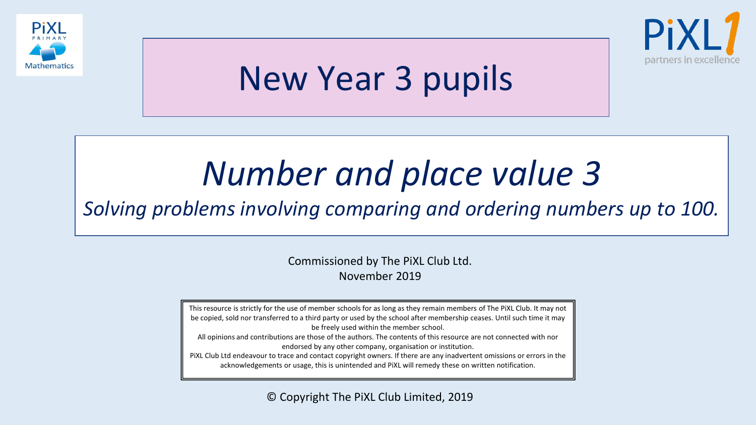



# New Year 3 pupils

# *Number and place value 3*

*Solving problems involving comparing and ordering numbers up to 100.*

Commissioned by The PiXL Club Ltd. November 2019

This resource is strictly for the use of member schools for as long as they remain members of The PiXL Club. It may not be copied, sold nor transferred to a third party or used by the school after membership ceases. Until such time it may be freely used within the member school. All opinions and contributions are those of the authors. The contents of this resource are not connected with nor endorsed by any other company, organisation or institution.

PiXL Club Ltd endeavour to trace and contact copyright owners. If there are any inadvertent omissions or errors in the acknowledgements or usage, this is unintended and PiXL will remedy these on written notification.

© Copyright The PiXL Club Limited, 2019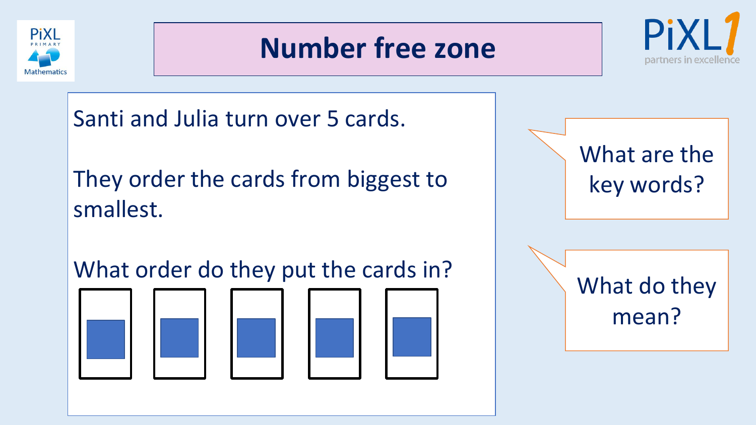

#### **Number free zone**



Santi and Julia turn over 5 cards.

They order the cards from biggest to smallest.

What order do they put the cards in?



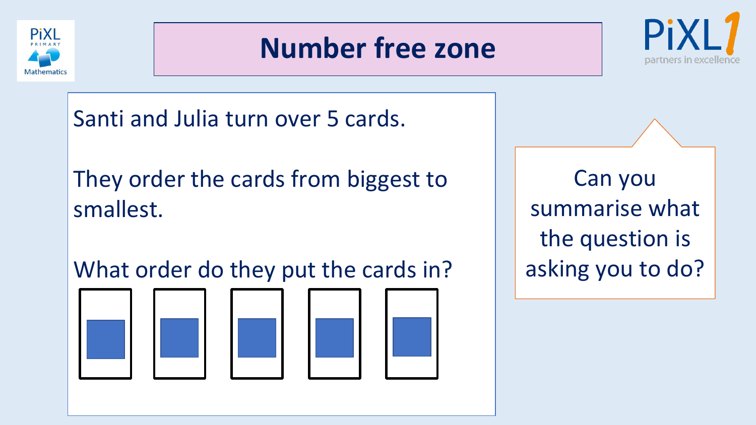

#### **Number free zone**



Santi and Julia turn over 5 cards.

They order the cards from biggest to smallest.

What order do they put the cards in?



Can you summarise what the question is asking you to do?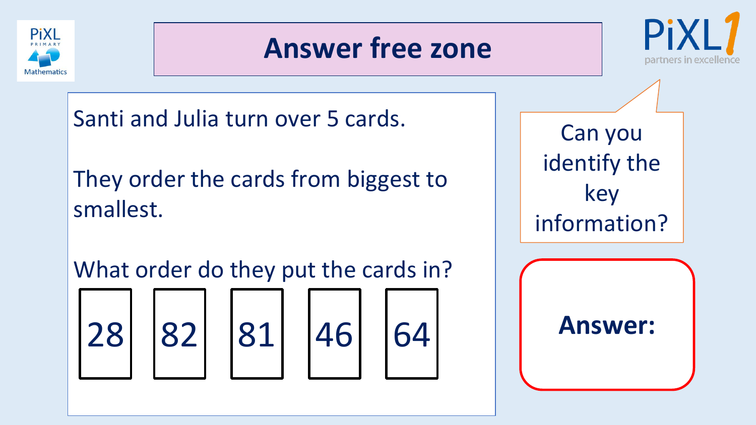



Santi and Julia turn over 5 cards.

They order the cards from biggest to smallest.

What order do they put the cards in?







Can you identify the key information?

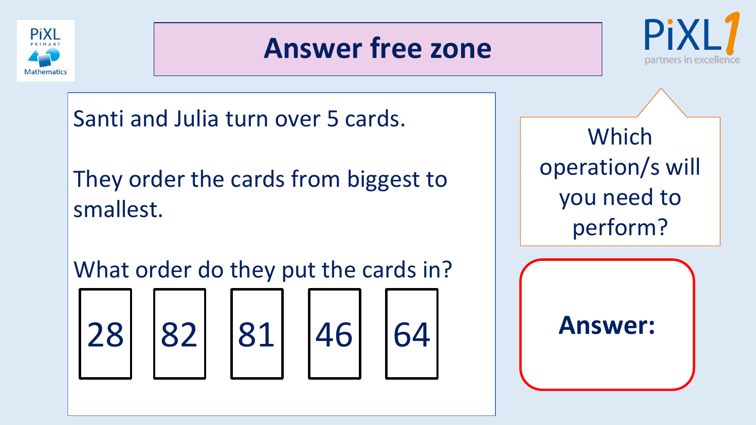



Santi and Julia turn over 5 cards.

They order the cards from biggest to smallest.

What order do they put the cards in?







Which operation/s will you need to perform?

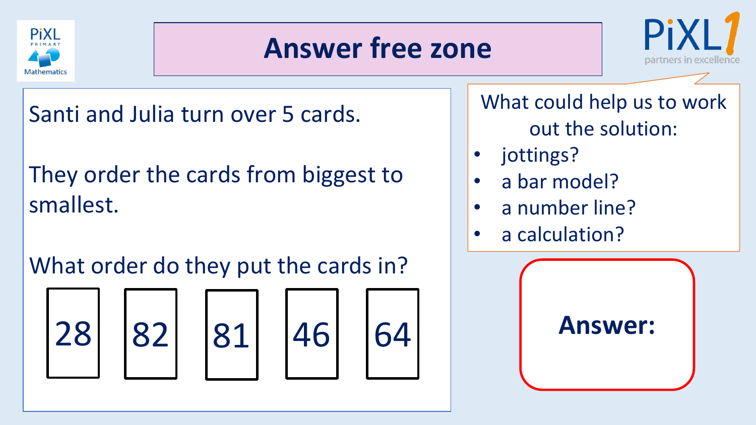



Santi and Julia turn over 5 cards.

They order the cards from biggest to smallest.

What order do they put the cards in?









What could help us to work out the solution:

- jottings?
- a bar model?
- a number line?
- a calculation?

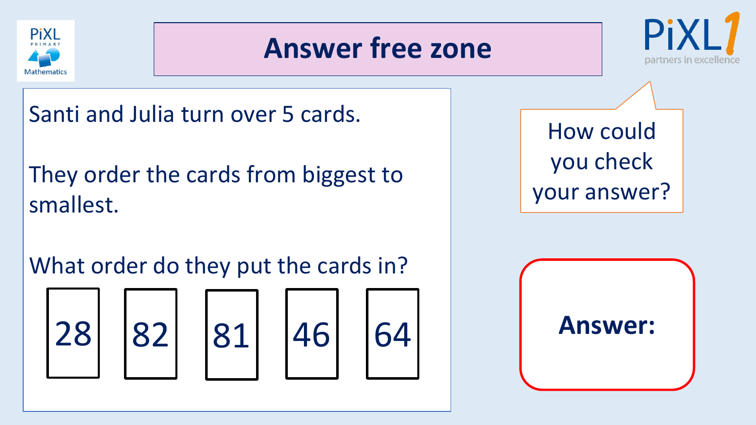



Santi and Julia turn over 5 cards.

They order the cards from biggest to smallest.

What order do they put the cards in?









How could you check your answer?

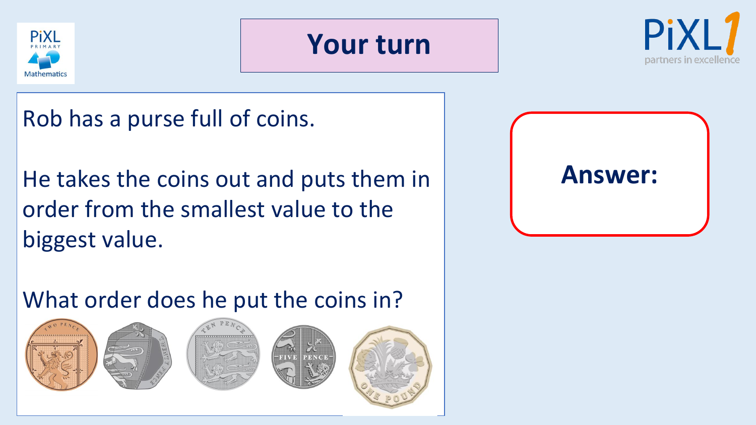





Rob has a purse full of coins.

He takes the coins out and puts them in order from the smallest value to the biggest value.

**Answer:**

What order does he put the coins in?